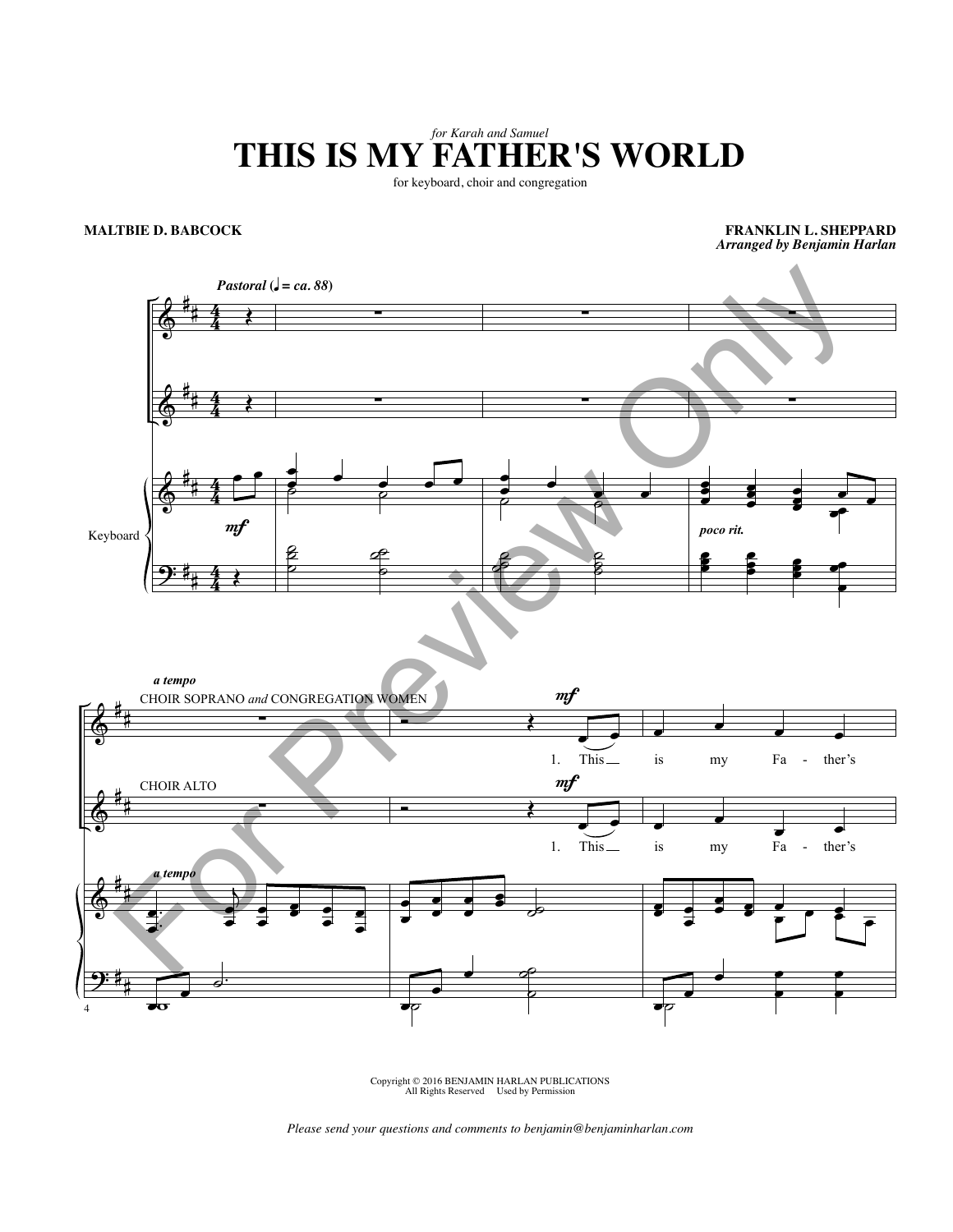## *for Karah and Samuel* **THIS IS MY FATHER'S WORLD**

for keyboard, choir and congregation

## **MALTBIE D. BABCOCK**

**FRANKLIN L. SHEPPARD** *Arranged by Benjamin Harlan*



Copyright © 2016 BENJAMIN HARLAN PUBLICATIONS All Rights Reserved Used by Permission

*Please send your questions and comments to benjamin@benjaminharlan.com*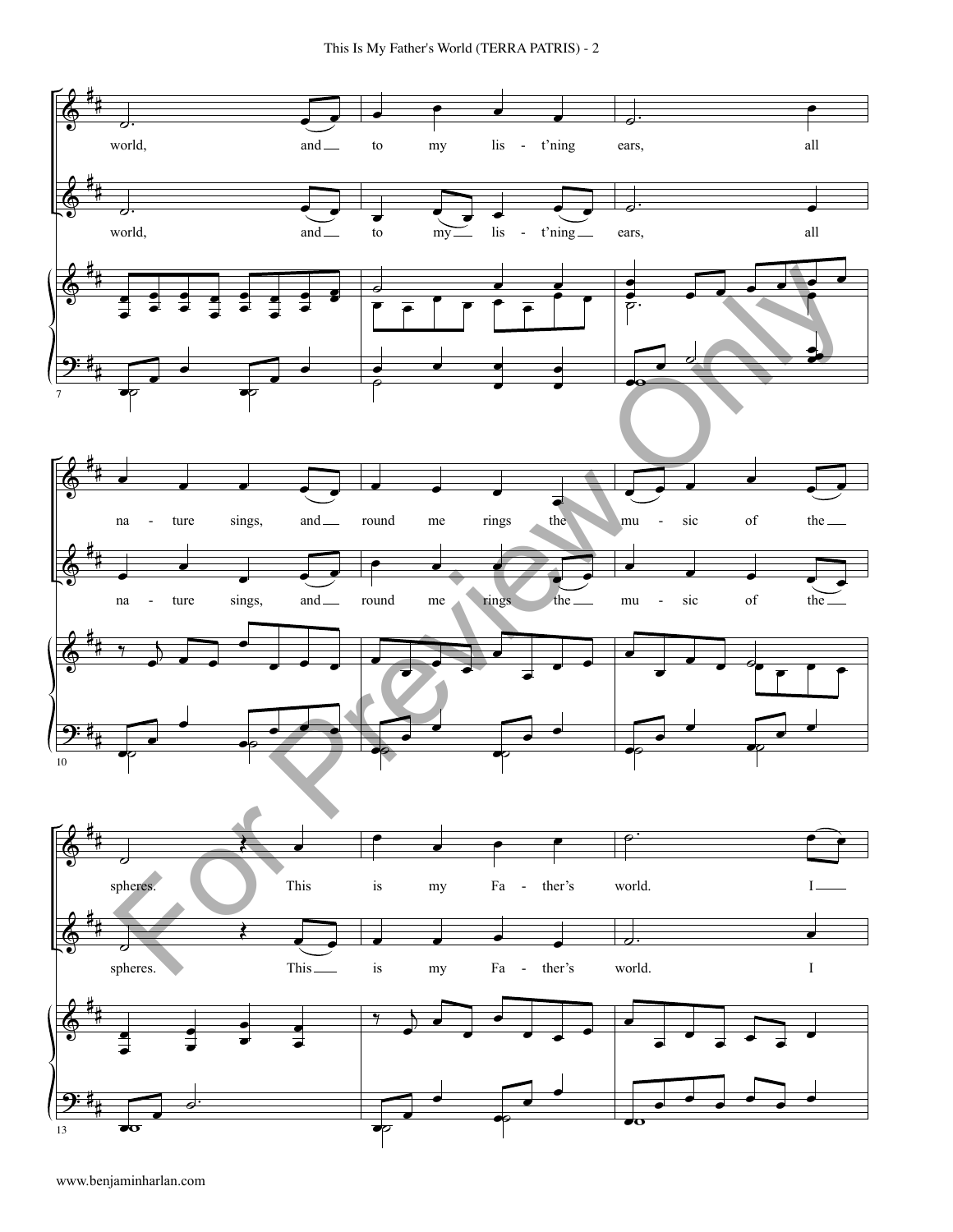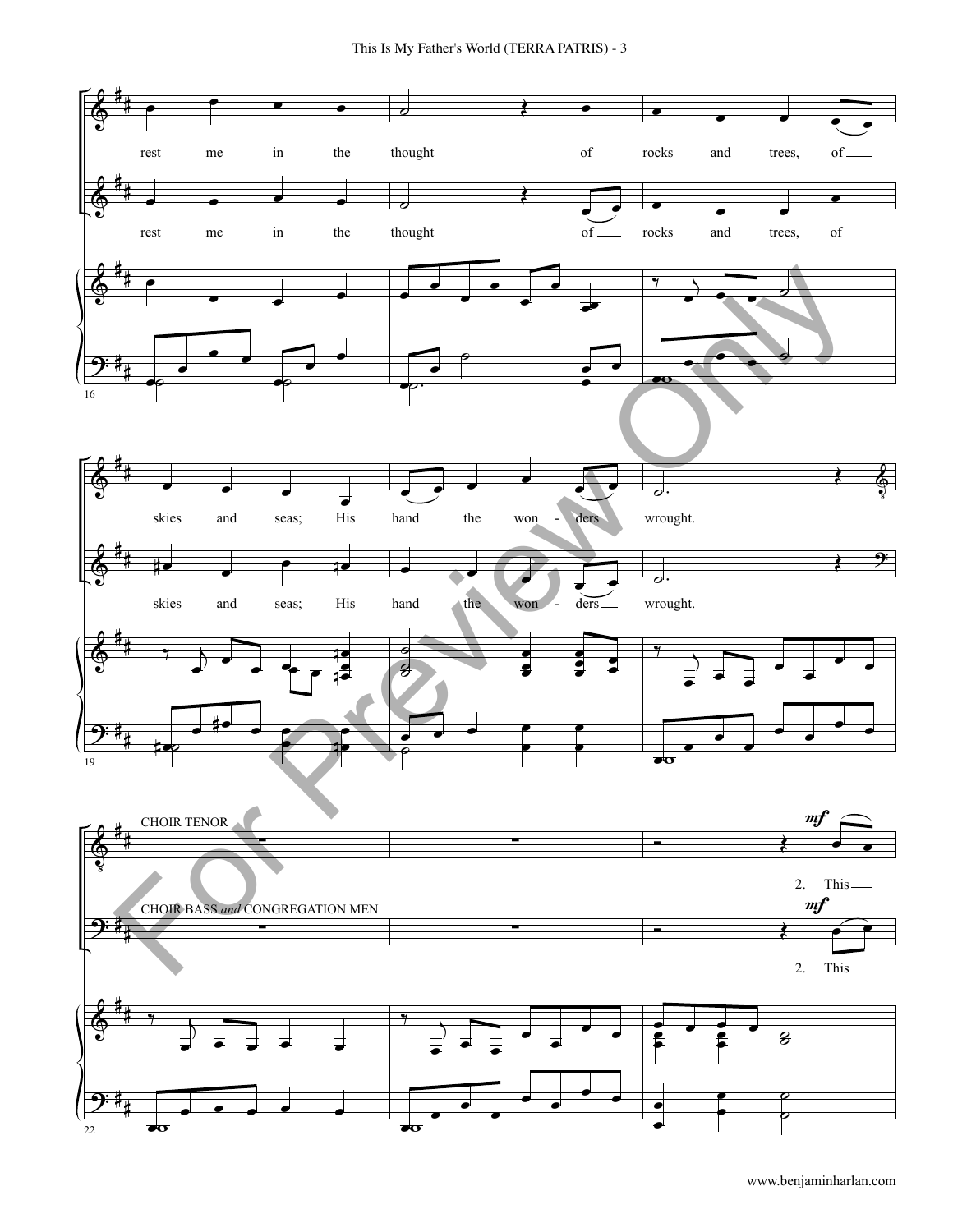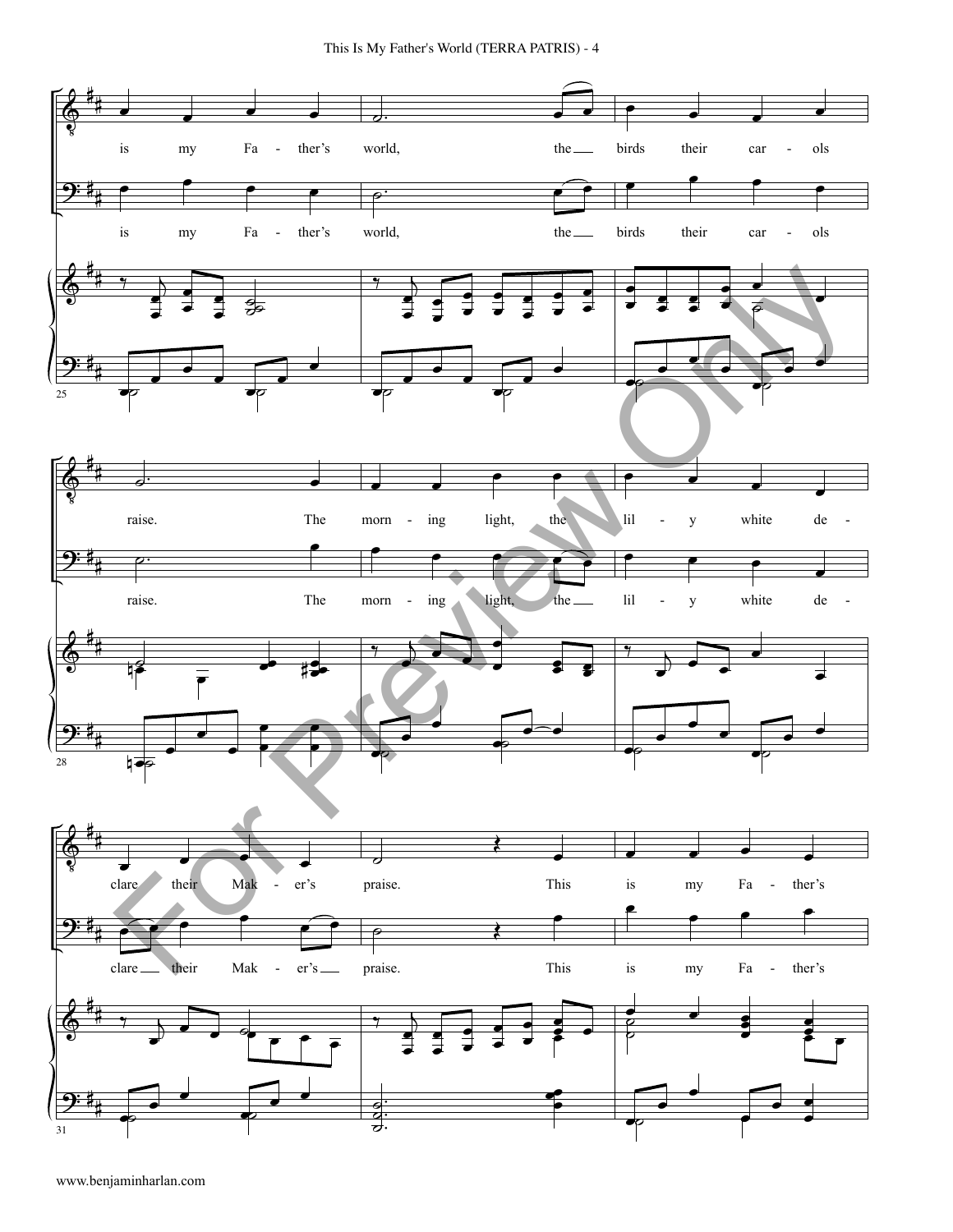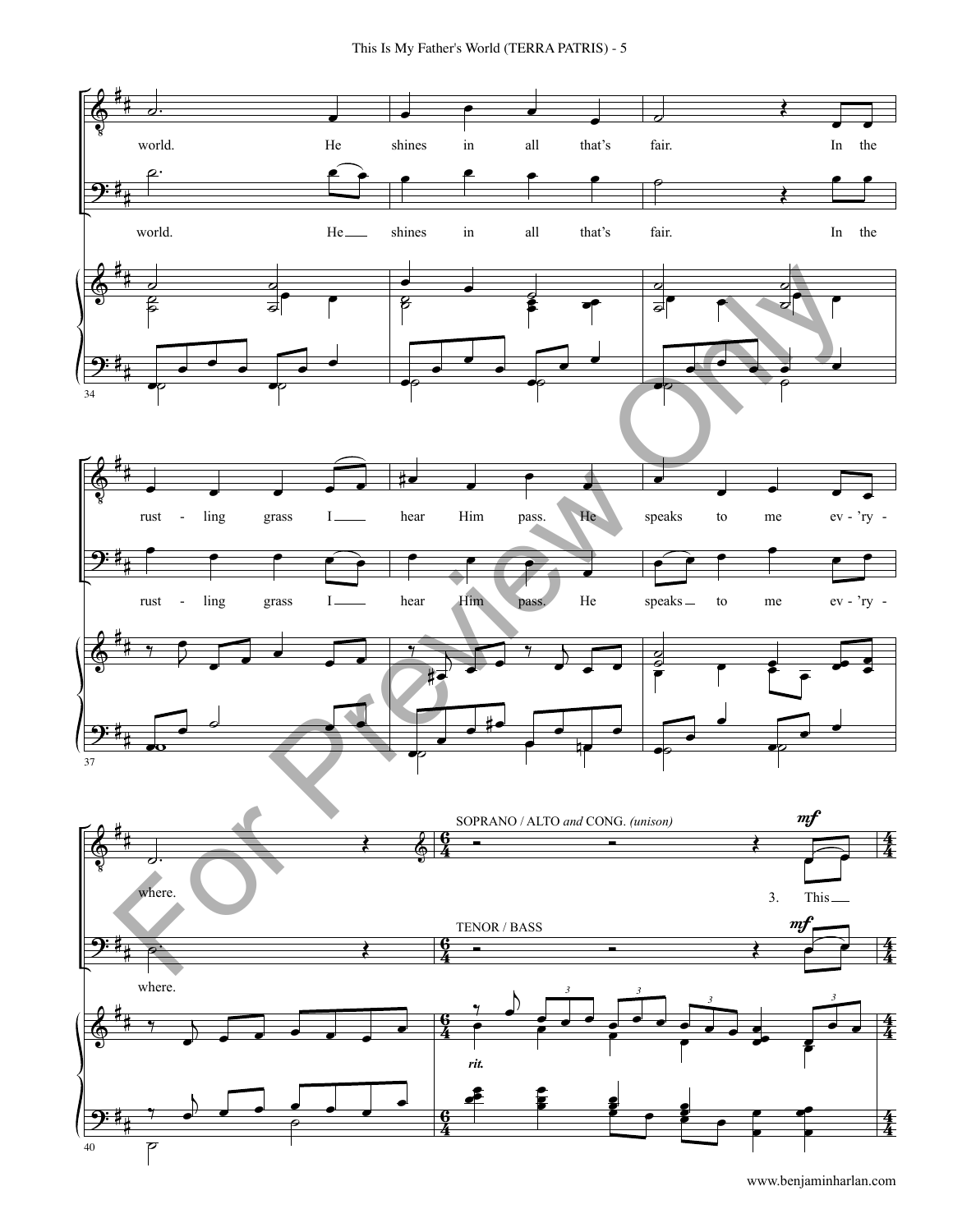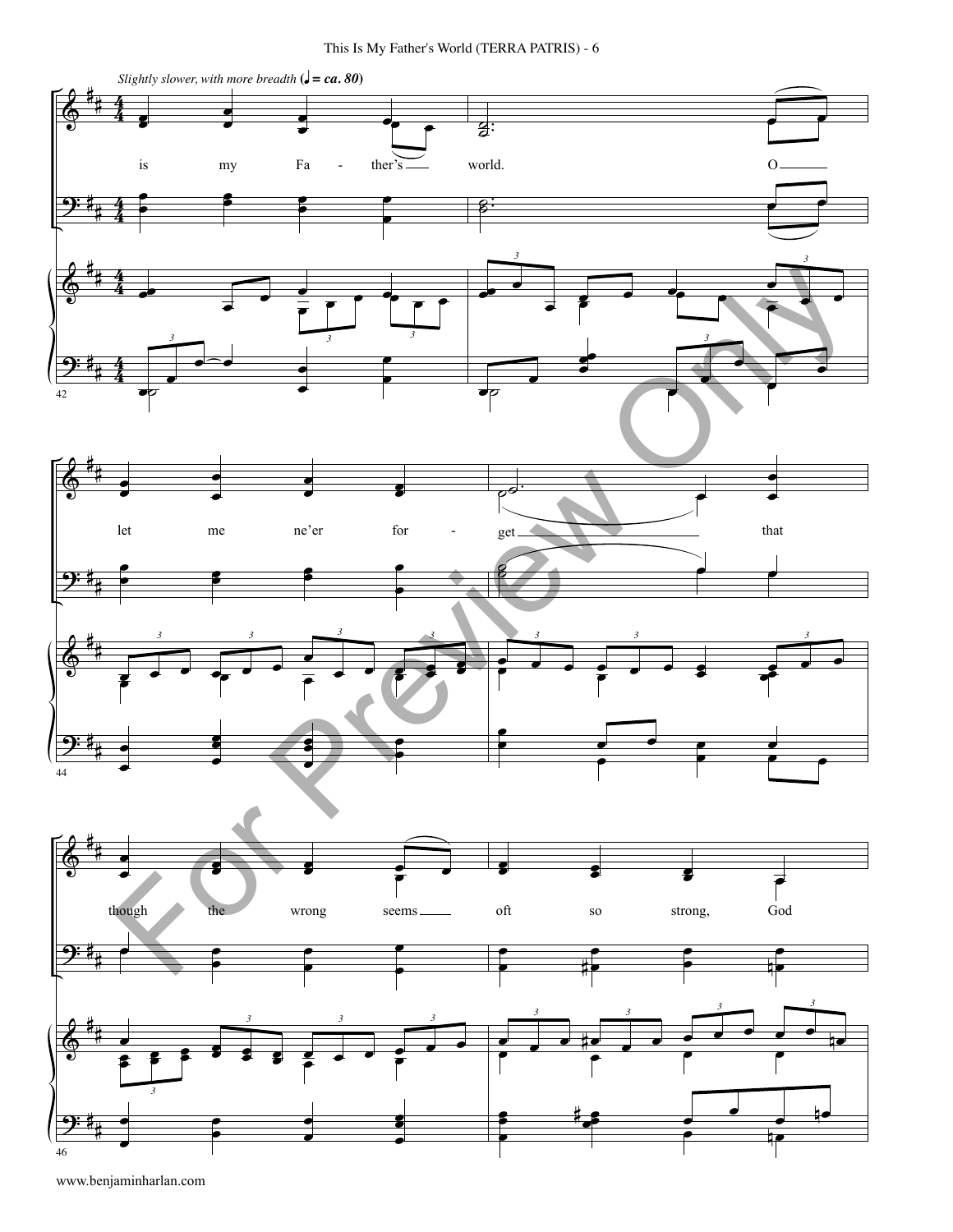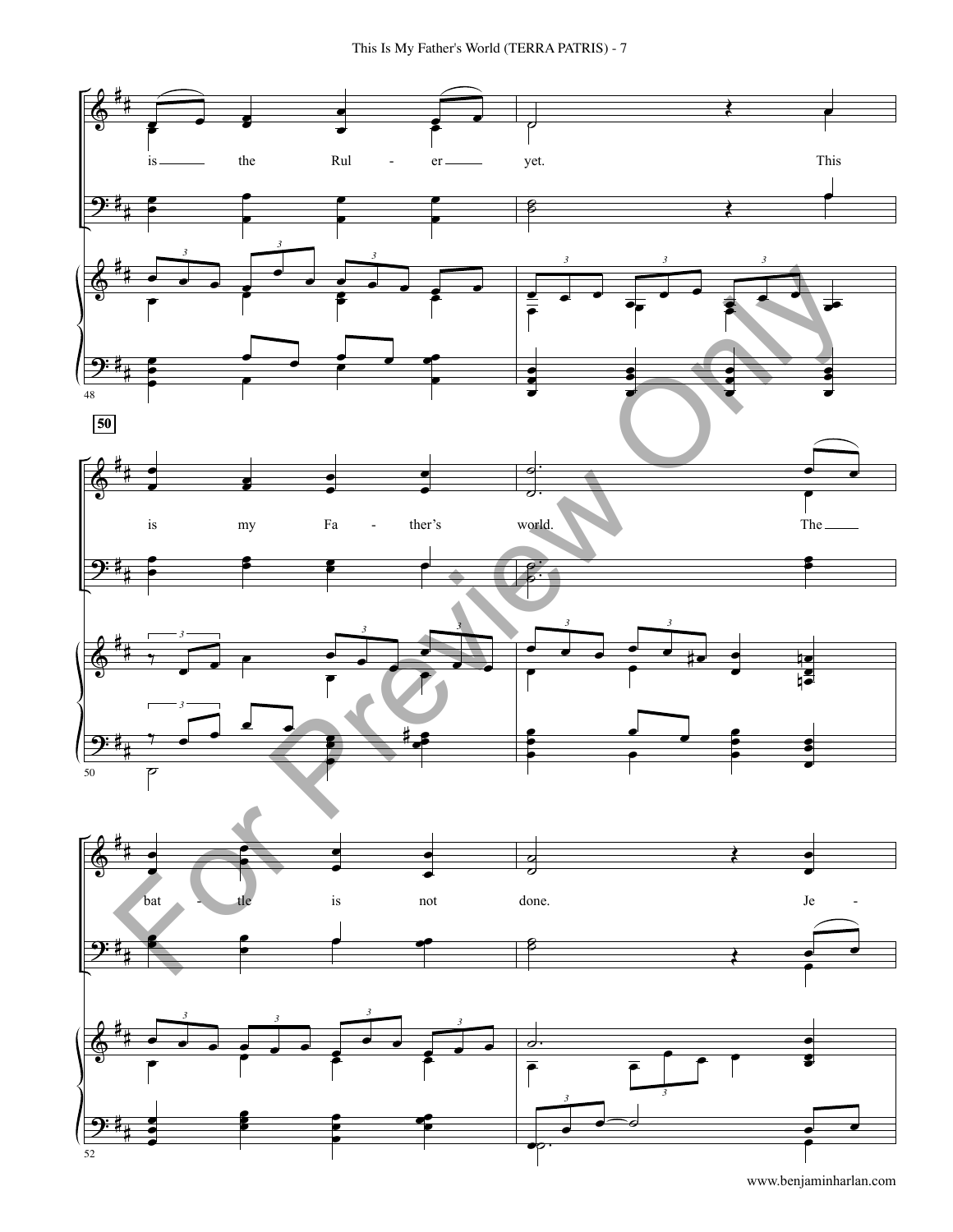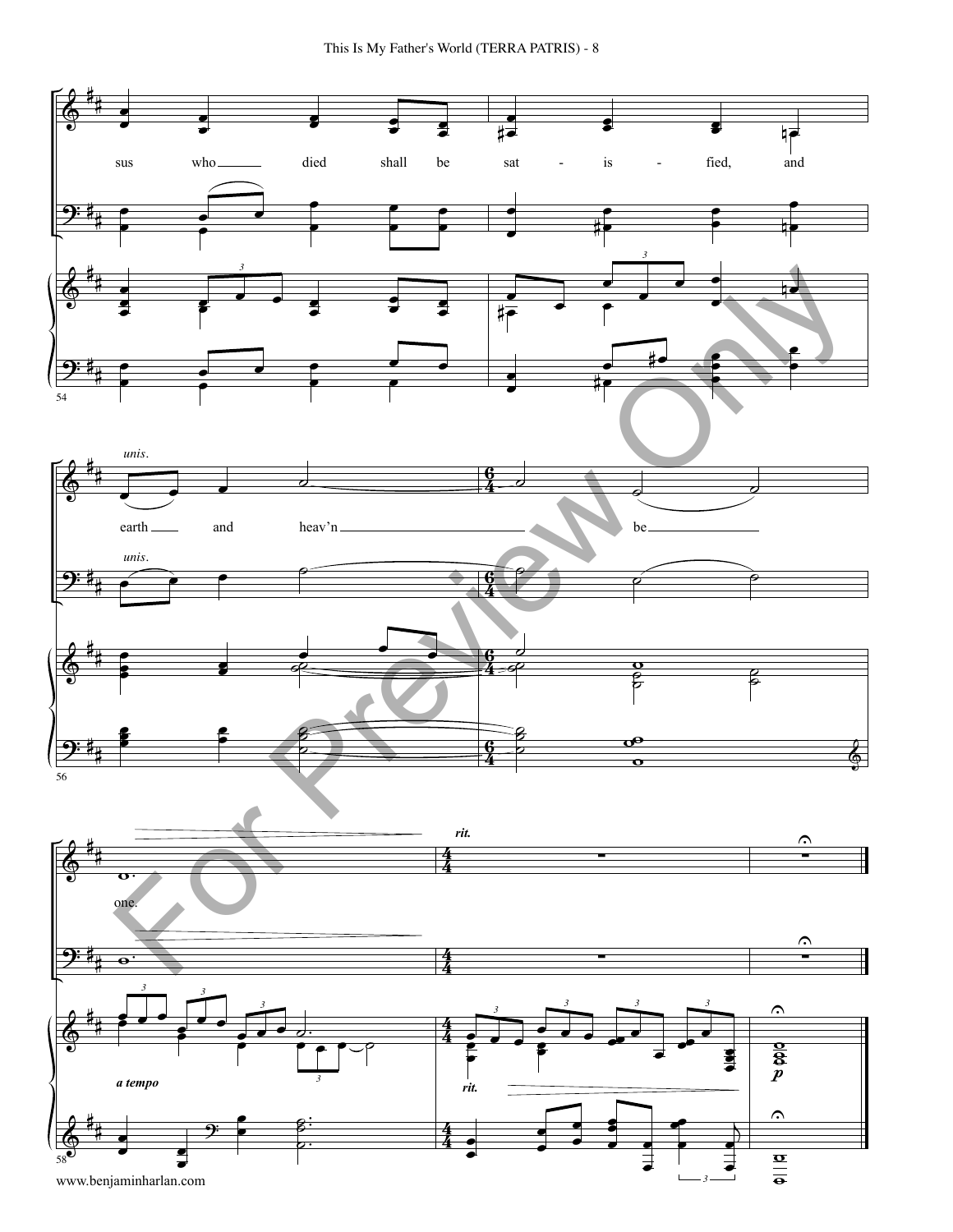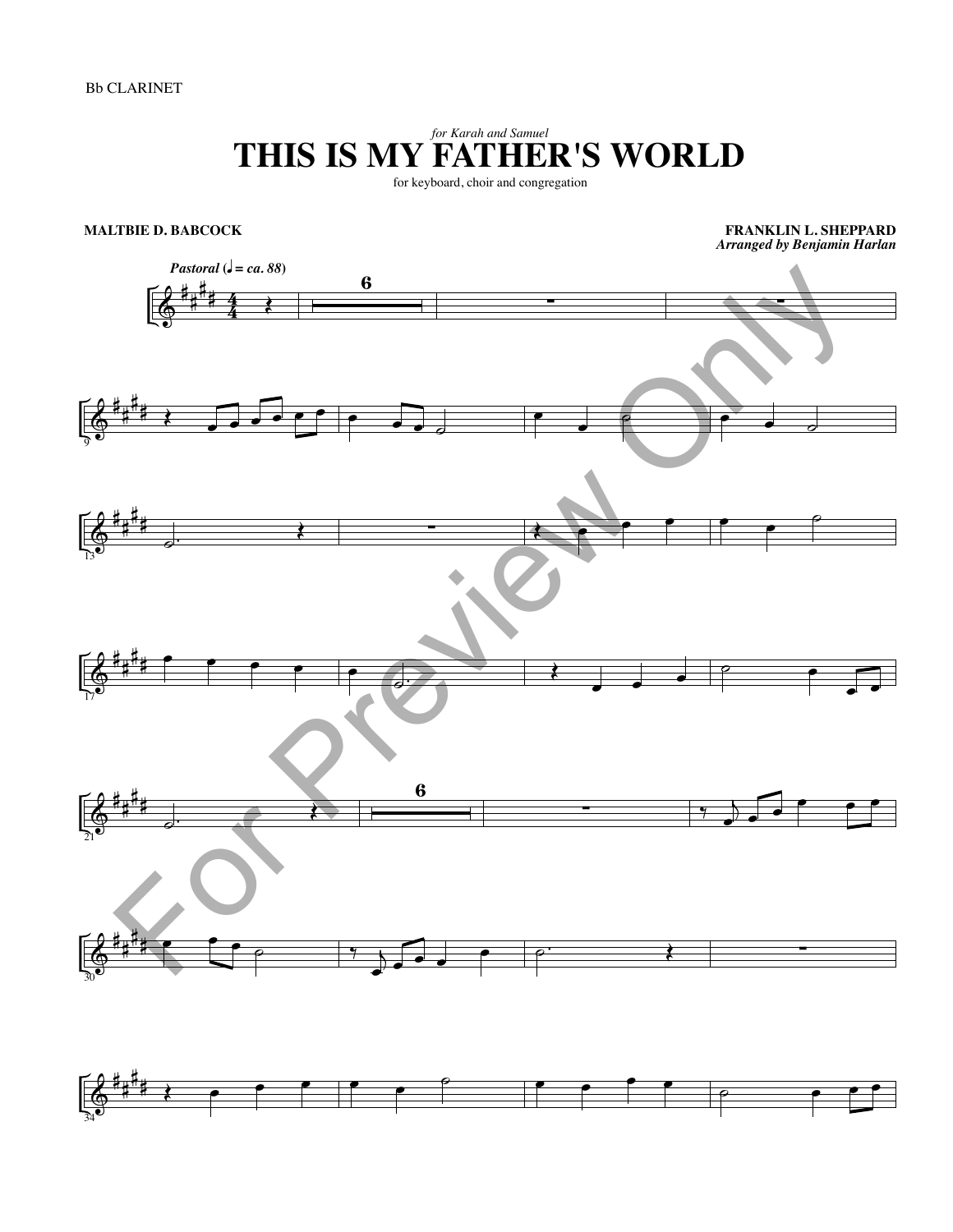## *for Karah and Samuel* **THIS IS MY FATHER'S WORLD**

for keyboard, choir and congregation